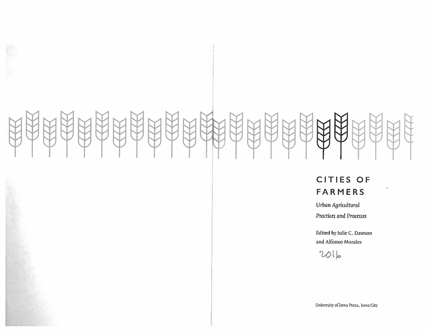K.

# CITIES OF FARMERS

do.

Urban Agricultural **Practices and Processes** 

Edited by Julie C. Dawson and Alfonso Morales

2016

University of Iowa Press, Iowa City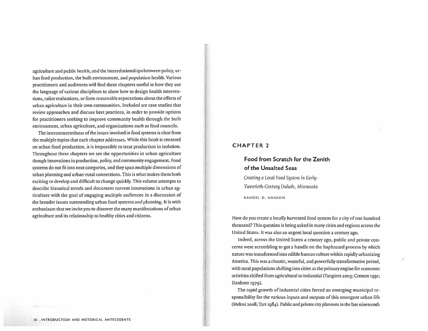agriculture and public health, and the interrelationships between policy, urban food production, the built environment, and population health. Various practitioners and audiences will find these chapters useful in how they use the language of various disciplines to show how to design health interventions, tailor evaluations, or form reasonable expectations about the effects of urban agriculture in their own communities. Included are case studies that review approaches and discuss best practices, in order to provide options for practitioners seeking to improve community health through the built environment, urban agriculture, and organizations such as food councils.

The interconnectedness of the issues involved in food systems is clear from the multiple topics that each chapter addresses. While this book is centered on urban food production, it is impossible to treat production in isolation. Throughout these chapters we see the opportunities in urban agriculture though innovations in production, policy, and community engagement. Food systems do not fit into neat categories, and they span multiple dimensions of urban planning and urban-rural connections. This is what makes them both exciting to develop and difficult to change quickly. This volume attempts to describe historical trends and document current innovations in urban agriculture with the goal of engaging multiple audiences in a discussion of the broader issues surrounding urban food systems and planning. It is with enthusiasm that we invite you to discover the many manifestations of urban agriculture and its relationship to healthy cities and citizens.

### **CHAPTER 2**

# **Food from Scratch for the Zenith** of the Unsalted Seas

Creating a Local Food System in Early-Twentieth-Century Duluth, Minnesota

**RANDEL D. HANSON** 

How do you create a locally harvested food system for a city of one hundred thousand? This question is being asked in many cities and regions across the United States. It was also an urgent local question a century ago,

Indeed, across the United States a century ago, public and private concerns were scrambling to get a handle on the haphazard process by which nature was transformed into edible human culture within rapidly urbanizing America. This was a chaotic, wasteful, and powerfully transformative period, with rural populations shifting into cities as the primary engine for economic activities shifted from agricultural to industrial (Tangires 2003; Cronon 1991; Danbom 1979).

The rapid growth of industrial cities forced an emerging municipal responsibility for the various inputs and outputs of this emergent urban life (Melosi 2008; Tarr 1984). Public and private city planners in the late nineteenth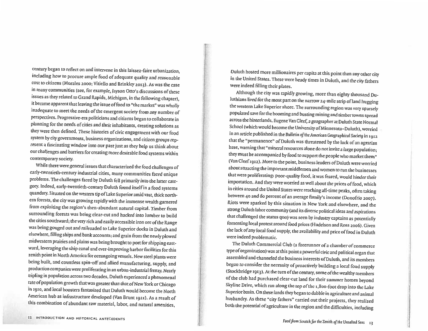century began to reflect on and intervene in this laissez-faire urbanization, including how to procure ample food of adequate quality and reasonable cost to citizens (Morales 2000; Vitiello and Brinkley 2013). As was the case in many communities (see, for example, Jayson Otto's discussions of these issues as they related to Grand Rapids, Michigan, in the following chapter), it became apparent that leaving the issue of food to "the market" was wholly inadequate to meet the needs of the emergent society from any number of perspectives. Progressive-era politicians and citizens began to collaborate in planning for the needs of cities and their inhabitants, creating solutions as they were then defined. These histories of civic engagement with our food system by city governments, business organizations, and citizen groups represent a fascinating window into our past just as they help us think about our challenges and barriers for creating more desirable food systems within contemporary society.

While there were general issues that characterized the food challenges of early-twentieth-century industrial cities, many communities faced unique problems. The challenges faced by Duluth fell primarily into the latter category. Indeed, early-twentieth-century Duluth found itself in a food systems quandary. Situated on the western tip of Lake Superior amid vast, thick northern forests, the city was growing rapidly with the immense wealth garnered from exploiting the region's then-abundant natural capital. Timber from surrounding forests was being clear-cut and hacked into lumber to build the cities southward; the very rich and easily accessible iron ore of the Range was being gouged out and railroaded to Lake Superior docks in Duluth and elsewhere, filling ships and bank accounts; and grain from the newly plowed midwestern prairies and plains was being brought to port for shipping eastward, leveraging the ship canal and ever-improving harbor facilities for this zenith point in North America for oceangoing vessels. New steel plants were being built, and countless spin-off and allied manufacturing, supply, and production companies were proliferating in an urban-industrial frenzy. Nearly tripling in population across two decades, Duluth experienced a phenomenal rate of population growth that was greater than that of New York or Chicago in 1910, and local boosters fantasized that Duluth would become the North American hub as infrastructure developed (Van Brunt 1921). As a result of this combination of abundant raw material, labor, and natural amenities,

Duluth hosted more millionaires per capita at this point than any other city in the United States. These were heady times in Duluth, and the city fathers were indeed filling their plates.

Although the city was rapidly growing, more than eighty thousand Duluthians lived for the most part on the narrow 24-mile strip of land hugging the western Lake Superior shore. The surrounding region was very sparsely populated save for the booming and busting mining and timber towns spread across the hinterlands. Eugene Van Cleef, a geographer at Duluth State Normal School (which would become the University of Minnesota-Duluth), worried in an article published in the Bulletin of the American Geographical Society in 1912 that the "permanence" of Duluth was threatened by the lack of an agrarian base, warning that "mineral resources alone do not invite a large population; they must be accompanied by food to support the people who market them" (Van Cleef 1912). More to the point, business leaders of Duluth were worried about attracting the important middlemen and women to run the businesses that were proliferating: poor-quality food, it was feared, would hinder their importation. And they were worried as well about the prices of food, which in cities around the United States were reaching all-time peaks, often taking between 40 and 60 percent of an average family's income (Donofrio 2007). Riots were sparked by this situation in New York and elsewhere, and the strong Duluth labor community (and its diverse political ideas and aspirations that challenged the status quo) was seen by industry captains as potentially fomenting local protest around food prices (Hudelson and Ross 2006). Given the lack of any local food supply, the availability and price of food in Duluth were indeed problematic.

The Duluth Commercial Club (a forerunner of a chamber of commerce type of organization) was at this point a powerful civic and political organ that assembled and channeled the business interests of Duluth, and its members began to consider the necessity of proactively building a local food supply (Stockbridge 1913). At the turn of the century, some of the wealthy members of the club had purchased clear-cut land for their summer homes beyond Skyline Drive, which ran along the top of the 1,800-foot drop into the Lake Superior basin. On these lands they began to dabble in agriculture and animal husbandry. As these "city fathers" carried out their projects, they realized both the potential of agriculture in the region and the difficulties, including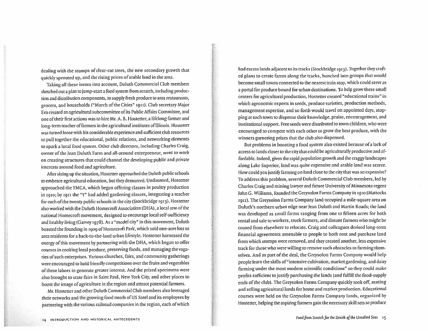dealing with the stumps of clear-cut trees, the new secondary growth that quickly sprouted up, and the rising prices of arable land in the area.

Taking all these issues into account, Duluth Commercial Club members sketched out a plan to jump-start a food system from scratch, including production and distribution components, to supply fresh produce to area restaurants, grocers, and households ("March of the Cities" 1911). Club secretary Major Eva created an agricultural subcommittee of its Public Affairs Committee, and one of their first actions was to hire Mr. A. B. Hostetter, a lifelong farmer and long-term teacher of farmers in the agricultural institutes of Illinois. Hostetter was turned loose with his considerable experience and sufficient club resources to pull together the educational, public relations, and networking elements to spark a local food system. Other club directors, including Charles Craig, owner of the Jean Duluth Farm and all-around entrepreneur, went to work on creating structures that could channel the developing public and private interests around food and agriculture.

After sizing up the situation, Hostetter approached the Duluth public schools to embrace agricultural education, but they demurred. Undaunted, Hostetter approached the YMCA, which began offering classes in poultry production in 1010; by 1011 the "Y" had added gardening classes, integrating a teacher for each of the twenty public schools in the city (Stockbridge 1913). Hostetter also worked with the Duluth Homecroft Association (DHA), a local arm of the national Homecroft movement, designed to encourage local self-sufficiency and healthy living (Garvey 1978). As a "model city" in this movement, Duluth boasted the founding in 1909 of Homecroft Park, which sold one-acre lots to area residents for a back-to-the-land urban lifestyle. Hostetter harnessed the energy of this movement by partnering with the DHA, which began to offer courses in cooking local produce, preserving foods, and managing the vagaries of such enterprises. Various churches, fairs, and community gatherings were encouraged to hold friendly competitions over the fruits and vegetables of these labors to generate greater interest. And the prized specimens were also brought to state fairs in Saint Paul, New York City, and other places to boost the image of agriculture in the region and attract potential farmers.

Mr. Hostetter and other Duluth Commercial Club members also leveraged their networks and the growing food needs of US Steel and its employees by partnering with the various railroad companies in the region, each of which

had excess lands adjacent to its tracks (Stockbridge 1913). Together they crafted plans to create farms along the tracks, bunched into groups that would become small towns connected to the nearest train stop, which could serve as a portal for produce bound for urban destinations. To help grow these small centers for agricultural production, Hostetter created "educational trains" in which agronomic experts in seeds, produce varieties, production methods, management expertise, and so forth would travel on appointed days, stopping at each town to dispense their knowledge, praise, encouragement, and institutional support. Free seeds were distributed to town children, who were encouraged to compete with each other to grow the best produce, with the winners garnering prizes that the club also dispensed.

But problems in boosting a food system also existed because of a lack of access to lands closer to the city that could be agriculturally productive and affordable. Indeed, given the rapid population growth and the craggy landscapes along Lake Superior, land was quite expensive and arable land was scarce. How could you justify farming on land close to the city that was so expensive? To address this problem, several Duluth Commercial Club members, led by Charles Craig and mining lawyer and future University of Minnesota regent John G. Williams, founded the Greysolon Farms Company in 1910 (Mattocks 1911). The Greysolon Farms Company land occupied a mile-square area on Duluth's northern urban edge near Jean Duluth and Martin Roads; the land was developed as small farms ranging from one to fifteen acres for both rental and sale to workers, truck farmers, and distant farmers who might be coaxed from elsewhere to relocate. Craig and colleagues devised long-term financial agreements amenable to people to both rent and purchase land from which stumps were removed, and they created another, less expensive track for those who were willing to remove such obstacles to farming themselves. And as part of the deal, the Greysolon Farms Company would help people learn the skills of "intensive cultivation, market gardening, and dairy farming under the most modern scientific conditions" so they could make profits sufficient to justify purchasing the lands (and fulfill the food-supply ends of the club). The Greysolon Farms Company quickly took off, renting and selling agricultural lands for home and market production. Educational courses were held on the Greysolon Farms Company lands, organized by Hostetter, helping the aspiring farmers gain the necessary skill sets to produce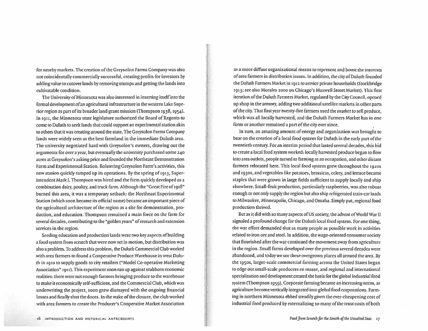for nearby markets. The creation of the Greysolon Farms Company was also not coincidentally commercially successful, creating profits for investors by adding value to cutover lands by removing stumps and getting the lands into cultivatable condition.

The University of Minnesota was also interested in inserting itself into the formal development of an agricultural infrastructure in the western Lake Superior region as part of its broader land grant mission (Thompson 1938, 1954). In 1911, the Minnesota state legislature authorized the Board of Regents to come to Duluth to seek lands that could support an experimental station akin to others that it was creating around the state. The Greysolon Farms Company lands were widely seen as the best farmland in the immediate Duluth area. The university negotiated hard with Greysolon's owners, drawing out the arguments for over a year, but eventually the university purchased some 240 acres at Greysolon's asking price and founded the Northeast Demonstration Farm and Experimental Station. Bolstering Greysolon Farm's activities, this new station quickly ramped up its operations. By the spring of 1913, Superintendent Mark J. Thompson was hired and the farm quickly developed as a combination dairy, poultry, and truck farm. Although the "Great Fire of 1918" burned this area, it was a temporary setback: the Northeast Experimental Station (which soon became its official name) became an important piece of the agricultural architecture of the region as a site for demonstration, production, and education. Thompson remained a main force on the farm for several decades, contributing to the "golden years" of research and extension services in the region.

Seeding education and production lands were two key aspects of building a food system from scratch that were now set in motion, but distribution was also a problem. To address this problem, the Duluth Commercial Club worked with area farmers to found a Cooperative Produce Warehouse in west Duluth in 1910 to supply goods to city retailers ("Model Co-operative Marketing Association" 1911). This experiment soon ran up against stubborn economic realities: there were not enough farmers bringing produce to the warehouse to make it economically self-sufficient, and the Commercial Club, which was underwriting the project, soon grew dismayed with the ongoing financial losses and finally shut the doors. In the wake of the closure, the club worked with area farmers to create the Producer's Cooperative Market Association

as a more diffuse organizational means to represent and boost the interests of area farmers in distribution issues. In addition, the city of Duluth founded the Duluth Farmers Market in 1912 to service private households (Stockbridge 1913; see also Morales 2000 on Chicago's Maxwell Street Market). This first iteration of the Duluth Farmers Market, regulated by the City Council, opened up shop in the armory, adding two additional satellite markets in other parts of the city. That first year twenty-five farmers used the market to sell produce, which was all locally harvested, and the Duluth Farmers Market has in one form or another remained a part of the city ever since.

In sum, an amazing amount of energy and organization was brought to bear on the creation of a local food system for Duluth in the early part of the twentieth century. For an interim period that lasted several decades, this bid to create a local food system worked: locally harvested produce began to flow into area outlets, people turned to farming as an occupation, and other distant farmers relocated here. This local food system grew throughout the 1920s and 1930s, and vegetables like potatoes, brassicas, celery, and lettuce became staples that were grown in large fields sufficient to supply locally and ship elsewhere. Small-fruit production, particularly raspberries, was also robust enough to not only supply the region but also ship refrigerated train-car loads to Milwaukee, Minneapolis, Chicago, and Omaha. Simply put, regional food production thrived.

But as it did with so many aspects of US society, the advent of World War II signaled a profound change for the Duluth local food system. For one thing, the war effort demanded that as many people as possible work in activities related to iron ore and steel. In addition, the wage-oriented consumer society that flourished after the war continued the movement away from agriculture in the region. Small farms developed over the previous several decades were abandoned, and today we see these overgrown places all around the area. By the 1950s, larger-scale commercial farming across the United States began to edge out small-scale producers en masse, and regional and international specialization and development created the basis for the global industrial food system (Thompson 1959). Corporate farming became an increasing norm, as agriculture become vertically integrated into global food corporations. Farming in northern Minnesota ebbed steadily given the ever-cheapening cost of industrial food produced by externalizing so many of the trust costs of both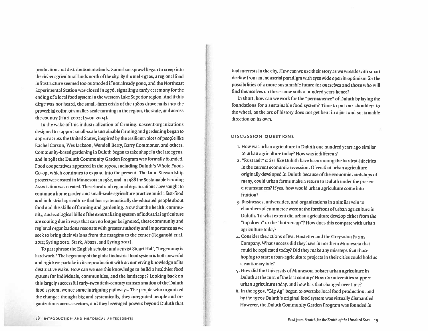production and distribution methods. Suburban sprawl began to creep into the richer agricultural lands north of the city. By the mid-1970s, a regional food infrastructure seemed too outmoded if not already gone, and the Northeast Experimental Station was closed in 1976, signaling a tardy ceremony for the ending of a local food system in the western Lake Superior region. And if this dirge was not heard, the small-farm crisis of the 1980s drove nails into the proverbial coffin of smaller-scale farming in the region, the state, and across the country (Hurt 2002; Lyson 2004).

In the wake of this industrialization of farming, nascent organizations designed to support small-scale sustainable farming and gardening began to appear across the United States, inspired by the resilient voices of people like Rachel Carson, Wes Jackson, Wendell Berry, Barry Commoner, and others. Community-based gardening in Duluth began to take shape in the late 1970s, and in 1981 the Duluth Community Garden Program was formally founded. Food cooperatives appeared in the 1970s, including Duluth's Whole Foods Co-op, which continues to expand into the present. The Land Stewardship project was created in Minnesota in 1982, and in 1988 the Sustainable Farming Association was created. These local and regional organizations have sought to continue a home garden and small-scale agriculture practice amid a fast-food and industrial agriculture that has systematically de-educated people about food and the skills of farming and gardening. Now that the health, community, and ecological bills of the externalizing system of industrial agriculture are coming due in ways that can no longer be ignored, these community and regional organizations resonate with greater authority and importance as we seek to bring their visions from the margins to the center (Reganold et al. 2011; Syring 2012; Stark, Abazs, and Syring 2011).

To paraphrase the English scholar and activist Stuart Hall, "hegemony is hard work." The hegemony of the global industrial food system is both powerful and rigid: we partake in its reproduction with an unnerving knowledge of its destructive wake. How can we use this knowledge to build a healthier food system for individuals, communities, and the landscape? Looking back on this largely successful early-twentieth-century transformation of the Duluth food system, we see some intriguing pathways. The people who organized the changes thought big and systemically, they integrated people and organizations across sectors, and they leveraged powers beyond Duluth that

had interests in the city. How can we use their story as we wrestle with smart decline from an industrial paradigm with eyes wide open in optimism for the possibilities of a more sustainable future for ourselves and those who will find themselves on these same soils a hundred years hence?

In short, how can we work for the "permanence" of Duluth by laying the foundations for a sustainable food system? Time to put our shoulders to the wheel, as the arc of history does not get bent in a just and sustainable direction on its own.

#### DISCUSSION QUESTIONS

- 1. How was urban agriculture in Duluth one hundred years ago similar to urban agriculture today? How was it different?
- 2. "Rust Belt" cities like Duluth have been among the hardest-hit cities in the current economic recession. Given that urban agriculture originally developed in Duluth because of the economic hardships of many, could urban farms make a return to Duluth under the present circumstances? If yes, how would urban agriculture come into fruition?
- 3. Businesses, universities, and organizations in a similar vein to chambers of commerce were at the forefront of urban agriculture in Duluth. To what extent did urban agriculture develop either from the "top down" or the "bottom up"? How does this compare with urban agriculture today?
- 4. Consider the actions of Mr. Hostetter and the Greysolon Farms Company. What success did they have in northern Minnesota that could be replicated today? Did they make any missteps that those hoping to start urban-agriculture projects in their cities could hold as a cautionary tale?
- 5. How did the University of Minnesota bolster urban agriculture in Duluth at the turn of the last century? How do universities support urban agriculture today, and how has that changed over time?
- 6. In the 1950s, "Big Ag" began to overtake local food production, and by the 1970s Duluth's original food system was virtually dismantled. However, the Duluth Community Garden Program was founded in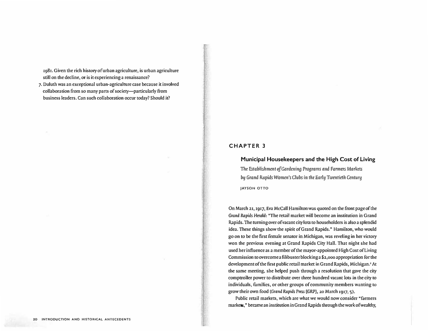**1981. Given the rich hiswry ofurban agriculture, is urban agriculture still on the decline, or is it experiencing a renaissance?** 

**7. Duluth was an exceptional urban-agriculture case because it involved co Ila boration from so many parts of society-particularly from business leaders. Can such collaboration occur today? Should it?**

#### **CHAPTER 3**

# **Municipal Housekeepers and the High Cost of Living**

**The Establishment of Gardening Programs and Farmers Markets by** *Grand* **Rapids Women's Clubs in the Earl� Twentieth Century JAYSON OTTO** 

**On March 21, 1917, Eva McCall Hamilton was quoted on the front page of the Grand Rapids Hrrald: "The retail market will become an institution in Grand Rapids. The tu ming over of vacant city lots to householders is also a splendid idea. These things show the spirit of Grand Rapids," Hamilton, who would go on to be tile first female senator in Michigan, was reveling in her victory won the previous evening at Grand Rapids City Hall. That night she had used her influence as a memberofthe mayor-appointed High Cost of Living Commission to overcome a filibuster blocking a \$2,000 appropriation for the development of the first public retail market in Grand Rapids, Michigan.' At the same meeting, she helped push through a resolution that gave the city comptroller power to distribute over three hundred vacant lots in the city to individuals, fumilics, or other groups of community members wanting to grow their own food (Grand Rapids Press [GRP],** 20 **March 1917, 5).** 

**Public retail markets, which are what we would now consider "formers**  markets," became an institution in Grand Rapids through the work of wealthy,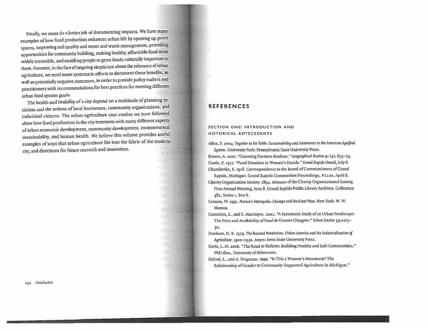Finally, we must do a better job of documenting impacts. We have many examples of how food production enhances urban life by opening up green spaces, improving soil quality and water and waste management, providing opportunities for community building, making healthy, affordable food more widely accessible, and enabling people to grow foods culturally important to them. However, in the face of ongoing skepticism about the relevance of urban agriculture, we need more systematic efforts to document these benefits, as well as potentially negative outcomes, in order to provide policy makers and practitioners with recommendations for best practices for meeting different urban food system goals.

The health and livability of a city depend on a multitude of planning decisions and the actions of local businesses, community organizations, and individual citizens. The urban-agriculture case studies we have followed show how food production in the city intersects with many different aspects of urban economic development, community development, environmental sustainability, and human health. We believe this volume provides useful examples of ways that urban agriculture fits into the fabric of the modern city, and directions for future research and innovation.

292 Conclusion

# **REFERENCES**

#### SECTION ONE: INTRODUCTION AND HISTORICAL ANTECEDENTS

Allen, P. 2004. Together at the Table: Sustainability and Sustenance in the American Agrifood Sustem, University Park: Pennsylvania State University Press.

Brown, A. 2001. "Counting Farmers Markets." Geographical Review 91 (4): 655-74. Castle, E. 1917. "Food Situation in Women's Hands." Grand Rapids Herald, July 8. Chamberlin, E. 1918. Correspondence to the Board of Commissioners of Grand

Rapids, Michigan. Grand Rapids Commission Proceedings, #2220, April 8.

Charity Organization Society. 1894. Minutes of the Charity Organizational Society, First Annual Meeting, June 8. Grand Rapids Public Library Archives, Collection 182, Series 1, Box 6.

Cronon, W. 1991. Nature's Metropolis: Chicago and the Great West. New York: W. W. Norton.

Cummins, S., and S. Macintyre. 2002. "A Systematic Study of an Urban Foodscape: The Price and Availability of Food in Greater Glasgow." Urban Studies 39:2115-30.

Danbom, D. B. 1979. The Resisted Revolution: Urban America and the Industrialization of Agriculture, 1900-1930. Ames: Iowa State University Press.

Davis, L. M. 2006. "The Road to Reform: Building Healthy and Safe Communities." PhD diss., University of Minnesota.

Delind, L., and A. Ferguson. 1999. "Is This a Women's Movement? The Relationship of Gender to Community-Supported Agriculture in Michigan."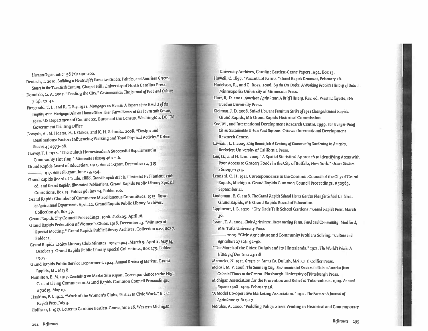Human Organization 58 (2): 190-200.

Deutsch, T. 2010. Building a Housewife's Paradise: Gender, Politics, and American Grocery Stores in the Twentieth Century. Chapel Hill: University of North Carolina Press.

- Donofrio, G. A. 2007. "Feeding the City." Gastronomica: The Journal of Food and Culture  $7(4): 30 - 41.$
- Fitzgerald, T. J., and R. T. Ely. 1921. Mortgages on Homes: A Report of the Results of the Inquiry as to Mortgage Debt on Homes Other Than Farm Homes at the Fourteenth Census, 1920. US Department of Commerce, Bureau of the Census. Washington, DC: US **Government Printing Office.**
- Forsyth, A., M. Hearst, M. J. Oakes, and K. H. Schmitz. 2008. "Design and Destinations: Factors Influencing Walking and Total Physical Activity." Urban Studies 45:1973-96.
- Garvey, T. J. 1978. "The Duluth Homesteads: A Successful Experiment in Community Housing." Minnesota History 46:2-16.

Grand Rapids Board of Education. 1915. Annual Report. December 12, 319.

- Grand Rapids Board of Trade. 1888. Grand Rapids as It Is: Illustrated Publications, 2nd ed. and Grand Rapids: Illustrated Publications. Grand Rapids Public Library Special Collections, Box 13, Folder 96; Box 14, Folder 100.
- Grand Rapids Chamber of Commerce Miscellaneous Committees. 1915. Report of Agricultural Department. April 22. Grand Rapids Public Library Archives,

Collection 46, Box 39.

Grand Rapids City Council Proceedings. 1906. #28405, April 16.

- Grand Rapids Federation of Women's Clubs. 1916. December 13. "Minutes of Special Meeting." Grand Rapids Public Library Archives, Collection 020, Box7, Folder 1.
- Grand Rapids Ladies Literary Club Minutes. 1903-1904. March 5, April 2, May 14, October 3. Grand Rapids Public Library Special Collections, Box 275, Folder
- $13.75.$ Grand Rapids Public Service Department. 1924. Annual Review of Markets. Grand Rapids, MI. May 8.
- Hamilton, E. M. 1917. Committee on Market Sites Report. Correspondence to the High Cost of Living Commission. Grand Rapids Common Council Proceedings, #72615, May 19.
- Haskins, F. J. 1912. "Work of the Women's Clubs, Part 2: In Civic Work." Grand Rapids Press, July 3.

Hollister, J. 1917. Letter to Caroline Bartlett-Crane, June 26. Western Michigan

University Archives, Caroline Bartlett-Crane Papers, A92, Box 13. Howell, C. 1897. "Vacant Lot Farms." Grand Rapids Democrat. February 26. Hudelson, R., and C. Ross. 2006. By the Ore Docks: A Working People's History of Duluth. Minneapolis: University of Minnesota Press.

- Hurt, R. D. 2002. American Agriculture: A Brief History. Rev. ed. West Lafayette, IN: **Purdue University Press.**
- Kleiman, J. D. 2006. Strike! How the Furniture Strike of 1911 Changed Grand Rapids. Grand Rapids, MI: Grand Rapids Historical Commission.
- Koc, M., and International Development Research Centre. 1999. For Hunger-Proof Cities: Sustainable Urban Food Systems. Ottawa: International Development Research Centre.
- Lawson, L. J. 2005. City Bountiful: A Century of Community Gardening in America. Berkeley: University of California Press.
- Lee, G., and H. Lim. 2009. "A Spatial Statistical Approach to Identifying Areas with Poor Access to Grocery Foods in the City of Buffalo, New York," Urban Studies 40:1200-1315.
- Leonard, C. H. 1911. Correspondence to the Common Council of the City of Grand Rapids, Michigan. Grand Rapids Common Council Proceedings, #50563, September 11.
- Lindeman, E. C. 1916. The Grand Rapids School Home Garden Plan for School Children. Grand Rapids, MI: Grand Rapids Board of Education.
- Lippincott, J. B. 1920. "City Dads Talk School Gardens." Grand Rapids Press, March  $30.$
- Lyson, T. A. 2004. Civic Agriculture: Reconnecting Farm, Food and Community. Medford, **MA: Tufts University Press**
- -. 2005. "Civic Agriculture and Community Problem Solving." Culture and Agriculture 27 (2): 92-98.
- "The March of the Cities: Duluth and Its Hinterlands." 1911. The World's Work: A History of Our Time 23:118.

Mattocks, N. 1911. Greysolon Farms Co. Duluth, MN: O. F. Collier Press.

- Melosi, M. V. 2008. The Sanitary City: Environmental Services in Urban America from Colonial Times to the Present. Pittsburgh: University of Pittsburgh Press.
- Michigan Association for the Prevention and Relief of Tuberculosis. 1909. Annual Report: 1908-1909. February 26.
- "A Model Co-operative Marketing Association." 1911. The Farmer: A Journal of Agriculture 17:613-17.

Morales, A. 2000. "Peddling Policy: Street Vending in Historical and Contemporary